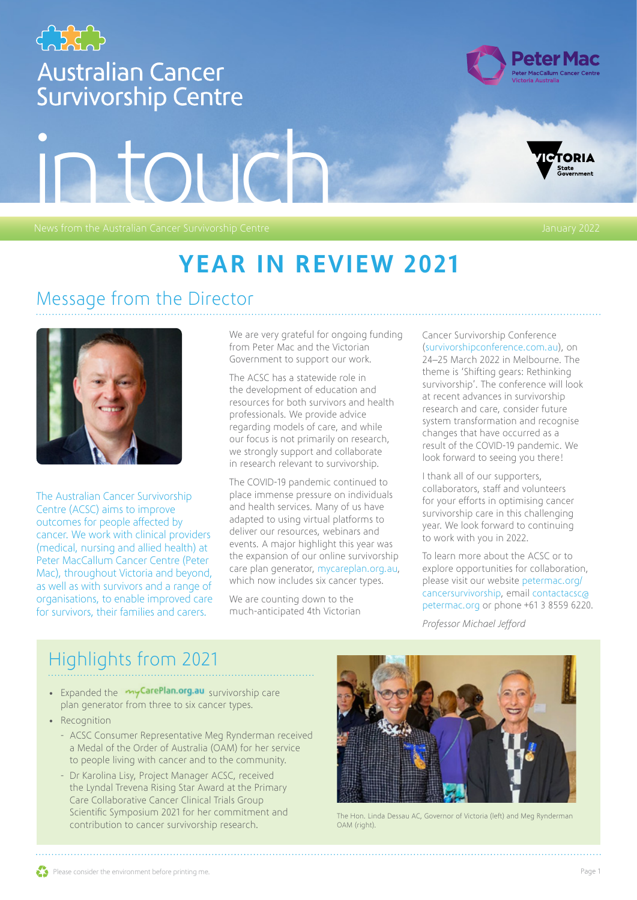

### Message from the Director



The Australian Cancer Survivorship Centre (ACSC) aims to improve outcomes for people affected by cancer. We work with clinical providers (medical, nursing and allied health) at Peter MacCallum Cancer Centre (Peter Mac), throughout Victoria and beyond, as well as with survivors and a range of organisations, to enable improved care for survivors, their families and carers.

We are very grateful for ongoing funding from Peter Mac and the Victorian Government to support our work.

The ACSC has a statewide role in the development of education and resources for both survivors and health professionals. We provide advice regarding models of care, and while our focus is not primarily on research, we strongly support and collaborate in research relevant to survivorship.

The COVID-19 pandemic continued to place immense pressure on individuals and health services. Many of us have adapted to using virtual platforms to deliver our resources, webinars and events. A major highlight this year was the expansion of our online survivorship care plan generator, [mycareplan.org.au,](https://www.mycareplan.org.au/) which now includes six cancer types.

We are counting down to the much-anticipated 4th Victorian

#### Cancer Survivorship Conference

([survivorshipconference.com.au\)](https://www.survivorshipconference.com.au), on 24–25 March 2022 in Melbourne. The theme is 'Shifting gears: Rethinking survivorship'. The conference will look at recent advances in survivorship research and care, consider future system transformation and recognise changes that have occurred as a result of the COVID-19 pandemic. We look forward to seeing you there!

I thank all of our supporters, collaborators, staff and volunteers for your efforts in optimising cancer survivorship care in this challenging year. We look forward to continuing to work with you in 2022.

To learn more about the ACSC or to explore opportunities for collaboration, please visit our website [petermac.org/](https://www.petermac.org/cancersurvivorship) [cancersurvivorship](https://www.petermac.org/cancersurvivorship), email [contactacsc@](mailto:contactacsc@petermac.org) [petermac.org](mailto:contactacsc@petermac.org) or phone +61 3 8559 6220.

*Professor Michael Jefford*

## Highlights from 2021

- Expanded the my CarePlan.org.au [s](https://mycareplan.org.au)urvivorship care plan generator from three to six cancer types.
- Recognition
	- ACSC Consumer Representative Meg Rynderman received a Medal of the Order of Australia (OAM) for her service to people living with cancer and to the community.
	- Dr Karolina Lisy, Project Manager ACSC, received the Lyndal Trevena Rising Star Award at the Primary Care Collaborative Cancer Clinical Trials Group Scientific Symposium 2021 for her commitment and contribution to cancer survivorship research.



The Hon. Linda Dessau AC, Governor of Victoria (left) and Meg Rynderman OAM (right).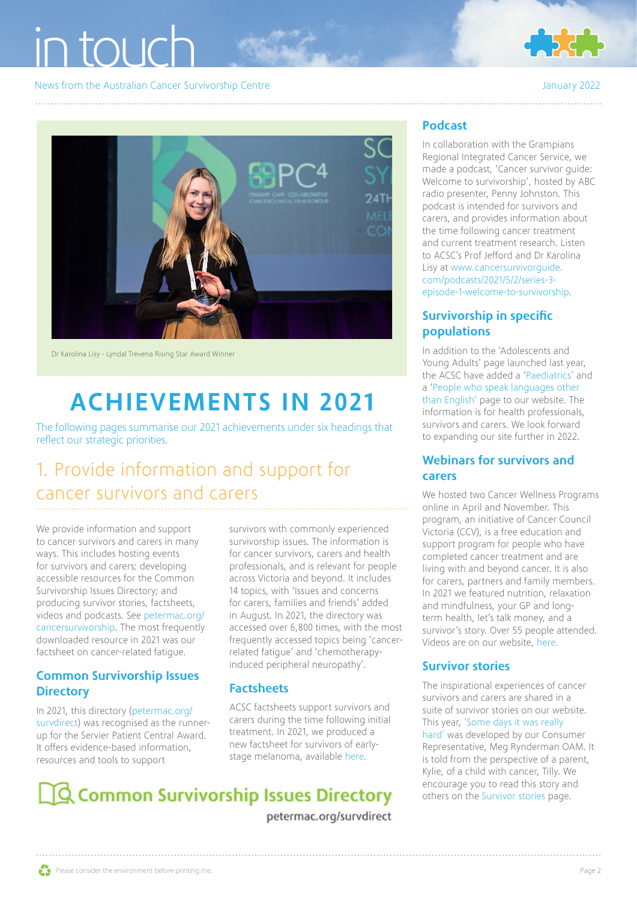

News from the Australian Cancer Survivorship Centre January 2022



Dr Karolina Lisy - Lyndal Trevena Rising Star Award Winner

## ACHIEVEMENTS IN 2021

The following pages summarise our 2021 achievements under six headings that reflect our strategic priorities.

## 1. Provide information and support for cancer survivors and carers

We provide information and support to cancer survivors and carers in many ways. This includes hosting events for survivors and carers; developing accessible resources for the Common Survivorship Issues Directory; and producing survivor stories, factsheets, videos and podcasts. See [petermac.org/](https://www.petermac.org/cancersurvivorship) [cancersurvivorship.](https://www.petermac.org/cancersurvivorship) The most frequently downloaded resource in 2021 was our factsheet on cancer-related fatigue.

#### Common Survivorship Issues **Directory**

In 2021, this directory [\(petermac.org/](https://www.petermac.org/survdirect) [survdirect\)](https://www.petermac.org/survdirect) was recognised as the runnerup for the Servier Patient Central Award. It offers evidence-based information, resources and tools to support

survivors with commonly experienced survivorship issues. The information is for cancer survivors, carers and health professionals, and is relevant for people across Victoria and beyond. It includes 14 topics, with 'Issues and concerns for carers, families and friends' added in August. In 2021, the directory was accessed over 6,800 times, with the most frequently accessed topics being 'cancerrelated fatigue' and 'chemotherapyinduced peripheral neuropathy'.

#### **Factsheets**

ACSC factsheets support survivors and carers during the time following initial treatment. In 2021, we produced a new factsheet for survivors of earlystage melanoma, available [here](https://www.petermac.org/sites/default/files/media-uploads/CONSUMER%20melanoma%20fact%20sheet%20template-2021-V7-WEB.pdf).

## **Q Common Survivorship Issues Directory**

petermac.org/survdirect

#### Podcast

In collaboration with the Grampians Regional Integrated Cancer Service, we made a podcast, 'Cancer survivor guide: Welcome to survivorship', hosted by ABC radio presenter, Penny Johnston. This podcast is intended for survivors and carers, and provides information about the time following cancer treatment and current treatment research. Listen to ACSC's Prof Jefford and Dr Karolina Lisy at [www.cancersurvivorguide.](http://www.cancersurvivorguide.com/podcasts/2021/5/2/series-3-episode-1-welcome-to-survivorship) [com/podcasts/2021/5/2/series-3](http://www.cancersurvivorguide.com/podcasts/2021/5/2/series-3-episode-1-welcome-to-survivorship) [episode-1-welcome-to-survivorship](http://www.cancersurvivorguide.com/podcasts/2021/5/2/series-3-episode-1-welcome-to-survivorship).

### Survivorship in specific populations

In addition to the 'Adolescents and Young Adults' page launched last year, the ACSC have added a '[Paediatrics'](https://www.petermac.org/services/support-services/cancersurvivorship/survivorship-specific-populations/paediatrics) and a '[People who speak languages other](https://www.petermac.org/services/support-services/cancersurvivorship/survivors-and-carers/resources/survivorship-specific-2)  [than English'](https://www.petermac.org/services/support-services/cancersurvivorship/survivors-and-carers/resources/survivorship-specific-2) page to our website. The information is for health professionals, survivors and carers. We look forward to expanding our site further in 2022.

#### Webinars for survivors and carers

We hosted two Cancer Wellness Programs online in April and November. This program, an initiative of Cancer Council Victoria (CCV), is a free education and support program for people who have completed cancer treatment and are living with and beyond cancer. It is also for carers, partners and family members. In 2021 we featured nutrition, relaxation and mindfulness, your GP and longterm health, let's talk money, and a survivor's story. Over 55 people attended. Videos are on our website, [here.](https://www.petermac.org/services/support-services/cancersurvivorship/survivors-and-carers/resources)

#### Survivor stories

The inspirational experiences of cancer survivors and carers are shared in a suite of survivor stories on our website. This year, ['Some days it was really](https://www.petermac.org/sites/default/files/media-uploads/PM0078_ACSC_Survivor_Story_Kylie_Tilly_Pretty_v5_WEB.pdf)  [hard](https://www.petermac.org/sites/default/files/media-uploads/PM0078_ACSC_Survivor_Story_Kylie_Tilly_Pretty_v5_WEB.pdf)' was developed by our Consumer Representative, Meg Rynderman OAM. It is told from the perspective of a parent, Kylie, of a child with cancer, Tilly. We encourage you to read this story and others on the [Survivor stories](https://www.petermac.org/services/cancer-information-resources/survivor-stories) page.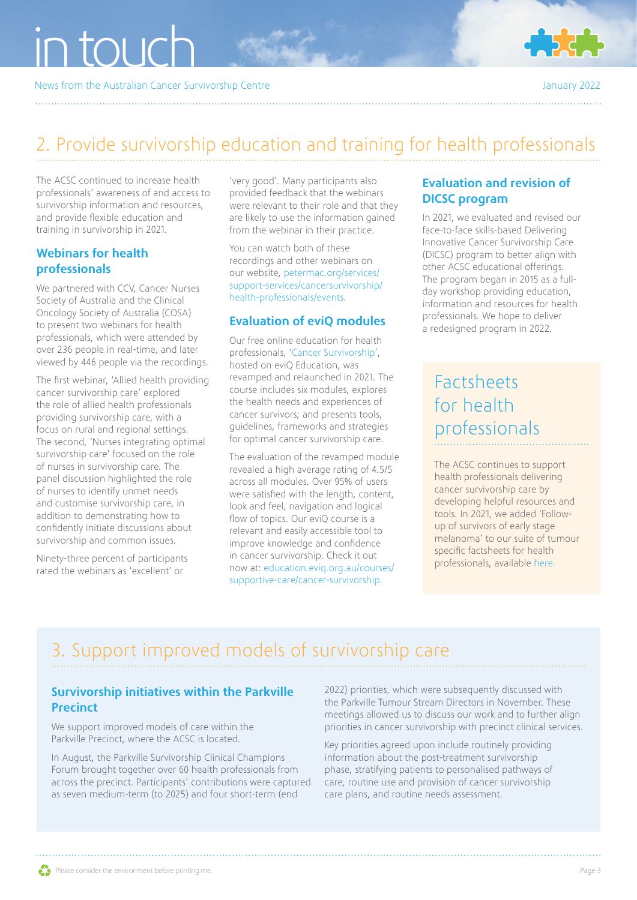News from the Australian Cancer Survivorship Centre January 2022



### 2. Provide survivorship education and training for health professionals

The ACSC continued to increase health professionals' awareness of and access to survivorship information and resources, and provide flexible education and training in survivorship in 2021.

#### Webinars for health professionals

We partnered with CCV, Cancer Nurses Society of Australia and the Clinical Oncology Society of Australia (COSA) to present two webinars for health professionals, which were attended by over 236 people in real-time, and later viewed by 446 people via the recordings.

The first webinar, 'Allied health providing cancer survivorship care' explored the role of allied health professionals providing survivorship care, with a focus on rural and regional settings. The second, 'Nurses integrating optimal survivorship care' focused on the role of nurses in survivorship care. The panel discussion highlighted the role of nurses to identify unmet needs and customise survivorship care, in addition to demonstrating how to confidently initiate discussions about survivorship and common issues.

Ninety-three percent of participants rated the webinars as 'excellent' or

'very good'. Many participants also provided feedback that the webinars were relevant to their role and that they are likely to use the information gained from the webinar in their practice.

You can watch both of these recordings and other webinars on our website, [petermac.org/services/](https://www.petermac.org/services/support-services/cancersurvivorship/health-professionals/events) [support-services/cancersurvivorship/](https://www.petermac.org/services/support-services/cancersurvivorship/health-professionals/events) [health-professionals/events](https://www.petermac.org/services/support-services/cancersurvivorship/health-professionals/events).

#### Evaluation of eviQ modules

Our free online education for health professionals, '[Cancer Survivorship'](https://education.eviq.org.au/courses/supportive-care/cancer-survivorship), hosted on eviQ Education, was revamped and relaunched in 2021. The course includes six modules, explores the health needs and experiences of cancer survivors; and presents tools, guidelines, frameworks and strategies for optimal cancer survivorship care.

The evaluation of the revamped module revealed a high average rating of 4.5/5 across all modules. Over 95% of users were satisfied with the length, content, look and feel, navigation and logical flow of topics. Our eviQ course is a relevant and easily accessible tool to improve knowledge and confidence in cancer survivorship. Check it out now at: [education.eviq.org.au/courses/](https://education.eviq.org.au/courses/supportive-care/cancer-survivorship) [supportive-care/cancer-survivorship](https://education.eviq.org.au/courses/supportive-care/cancer-survivorship).

#### Evaluation and revision of DICSC program

In 2021, we evaluated and revised our face-to-face skills-based Delivering Innovative Cancer Survivorship Care (DICSC) program to better align with other ACSC educational offerings. The program began in 2015 as a fullday workshop providing education, information and resources for health professionals. We hope to deliver a redesigned program in 2022.

### Factsheets for health professionals

The ACSC continues to support health professionals delivering cancer survivorship care by developing helpful resources and tools. In 2021, we added 'Followup of survivors of early stage melanoma' to our suite of tumour specific factsheets for health professionals, available [here.](https://www.petermac.org/sites/default/files/media-uploads/PM0085_ACSC_Professionals_Factsheet_Early-stage_Melanoma_V5_WEB.pdf) 

## 3. Support improved models of survivorship care

#### Survivorship initiatives within the Parkville **Precinct**

We support improved models of care within the Parkville Precinct, where the ACSC is located.

In August, the Parkville Survivorship Clinical Champions Forum brought together over 60 health professionals from across the precinct. Participants' contributions were captured as seven medium-term (to 2025) and four short-term (end

2022) priorities, which were subsequently discussed with the Parkville Tumour Stream Directors in November. These meetings allowed us to discuss our work and to further align priorities in cancer survivorship with precinct clinical services.

Key priorities agreed upon include routinely providing information about the post-treatment survivorship phase, stratifying patients to personalised pathways of care, routine use and provision of cancer survivorship care plans, and routine needs assessment.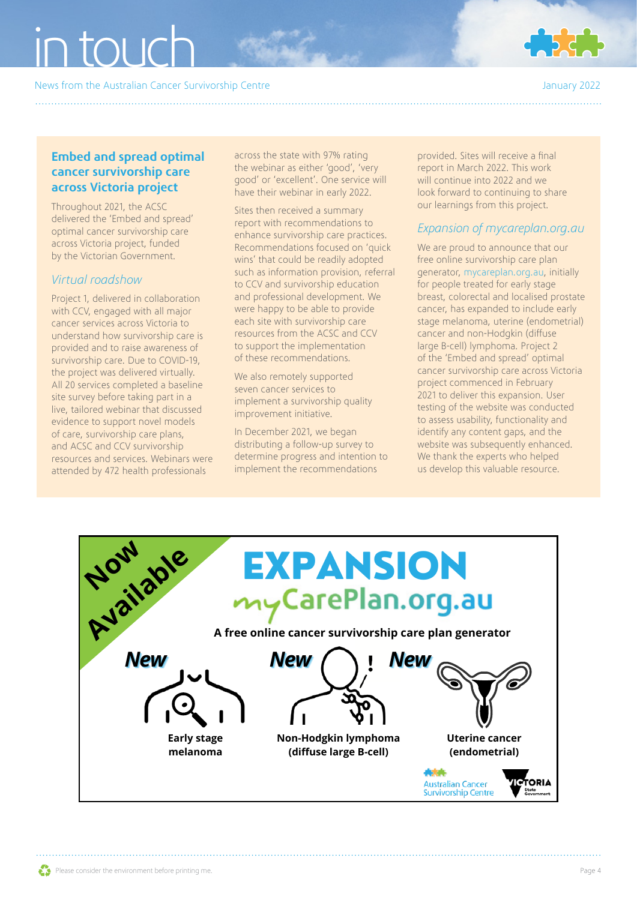News from the Australian Cancer Survivorship Centre January 2022



#### Embed and spread optimal cancer survivorship care across Victoria project

Throughout 2021, the ACSC delivered the 'Embed and spread' optimal cancer survivorship care across Victoria project, funded by the Victorian Government.

#### *Virtual roadshow*

Project 1, delivered in collaboration with CCV, engaged with all major cancer services across Victoria to understand how survivorship care is provided and to raise awareness of survivorship care. Due to COVID-19, the project was delivered virtually. All 20 services completed a baseline site survey before taking part in a live, tailored webinar that discussed evidence to support novel models of care, survivorship care plans, and ACSC and CCV survivorship resources and services. Webinars were attended by 472 health professionals

across the state with 97% rating the webinar as either 'good', 'very good' or 'excellent'. One service will have their webinar in early 2022.

Sites then received a summary report with recommendations to enhance survivorship care practices. Recommendations focused on 'quick wins' that could be readily adopted such as information provision, referral to CCV and survivorship education and professional development. We were happy to be able to provide each site with survivorship care resources from the ACSC and CCV to support the implementation of these recommendations.

We also remotely supported seven cancer services to implement a survivorship quality improvement initiative.

In December 2021, we began distributing a follow-up survey to determine progress and intention to implement the recommendations

provided. Sites will receive a final report in March 2022. This work will continue into 2022 and we look forward to continuing to share our learnings from this project.

#### *Expansion of mycareplan.org.au*

We are proud to announce that our free online survivorship care plan generator, [mycareplan.org.au,](https://www.mycareplan.org.au/) initially for people treated for early stage breast, colorectal and localised prostate cancer, has expanded to include early stage melanoma, uterine (endometrial) cancer and non-Hodgkin (diffuse large B-cell) lymphoma. Project 2 of the 'Embed and spread' optimal cancer survivorship care across Victoria project commenced in February 2021 to deliver this expansion. User testing of the website was conducted to assess usability, functionality and identify any content gaps, and the website was subsequently enhanced. We thank the experts who helped us develop this valuable resource.

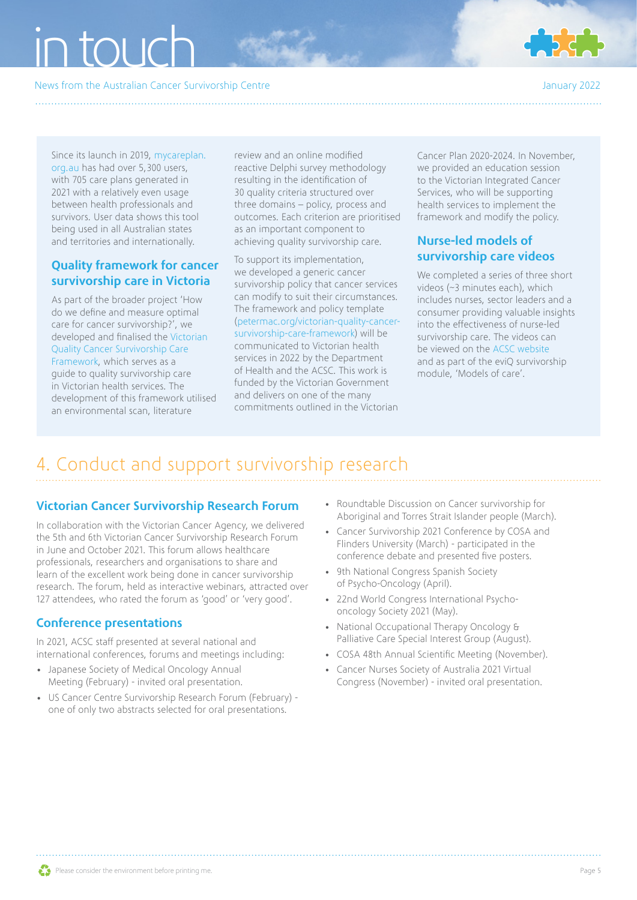## $\overline{\phantom{a}}$ in tou $\overline{\phantom{a}}$

News from the Australian Cancer Survivorship Centre January 2022



Since its launch in 2019, [mycareplan.](https://www.mycareplan.org.au/) [org.au](https://www.mycareplan.org.au/) has had over 5,300 users, with 705 care plans generated in 2021 with a relatively even usage between health professionals and survivors. User data shows this tool being used in all Australian states and territories and internationally.

#### Quality framework for cancer survivorship care in Victoria

As part of the broader project 'How do we define and measure optimal care for cancer survivorship?', we developed and finalised the [Victorian](https://www.petermac.org/victorian-quality-cancer-survivorship-care-framework)  [Quality Cancer Survivorship Care](https://www.petermac.org/victorian-quality-cancer-survivorship-care-framework)  [Framework,](https://www.petermac.org/victorian-quality-cancer-survivorship-care-framework) which serves as a guide to quality survivorship care in Victorian health services. The development of this framework utilised an environmental scan, literature

review and an online modified reactive Delphi survey methodology resulting in the identification of 30 quality criteria structured over three domains – policy, process and outcomes. Each criterion are prioritised as an important component to achieving quality survivorship care.

To support its implementation, we developed a generic cancer survivorship policy that cancer services can modify to suit their circumstances. The framework and policy template [\(petermac.org/victorian-quality-cancer](https://www.petermac.org/victorian-quality-cancer-survivorship-care-framework)[survivorship-care-framework\)](https://www.petermac.org/victorian-quality-cancer-survivorship-care-framework) will be communicated to Victorian health services in 2022 by the Department of Health and the ACSC. This work is funded by the Victorian Government and delivers on one of the many commitments outlined in the Victorian

Cancer Plan 2020-2024. In November, we provided an education session to the Victorian Integrated Cancer Services, who will be supporting health services to implement the framework and modify the policy.

#### Nurse-led models of survivorship care videos

We completed a series of three short videos (~3 minutes each), which includes nurses, sector leaders and a consumer providing valuable insights into the effectiveness of nurse-led survivorship care. The videos can be viewed on the [ACSC website](https://www.petermac.org/acsc/hp/models-care) and as part of the eviQ survivorship module, 'Models of care'.

## 4. Conduct and support survivorship research

#### Victorian Cancer Survivorship Research Forum

In collaboration with the Victorian Cancer Agency, we delivered the 5th and 6th Victorian Cancer Survivorship Research Forum in June and October 2021. This forum allows healthcare professionals, researchers and organisations to share and learn of the excellent work being done in cancer survivorship research. The forum, held as interactive webinars, attracted over 127 attendees, who rated the forum as 'good' or 'very good'.

#### Conference presentations

In 2021, ACSC staff presented at several national and international conferences, forums and meetings including:

- Japanese Society of Medical Oncology Annual Meeting (February) - invited oral presentation.
- US Cancer Centre Survivorship Research Forum (February) one of only two abstracts selected for oral presentations.
- Roundtable Discussion on Cancer survivorship for Aboriginal and Torres Strait Islander people (March).
- Cancer Survivorship 2021 Conference by COSA and Flinders University (March) - participated in the conference debate and presented five posters.
- 9th National Congress Spanish Society of Psycho-Oncology (April).
- 22nd World Congress International Psychooncology Society 2021 (May).
- National Occupational Therapy Oncology & Palliative Care Special Interest Group (August).
- COSA 48th Annual Scientific Meeting (November).
- Cancer Nurses Society of Australia 2021 Virtual Congress (November) - invited oral presentation.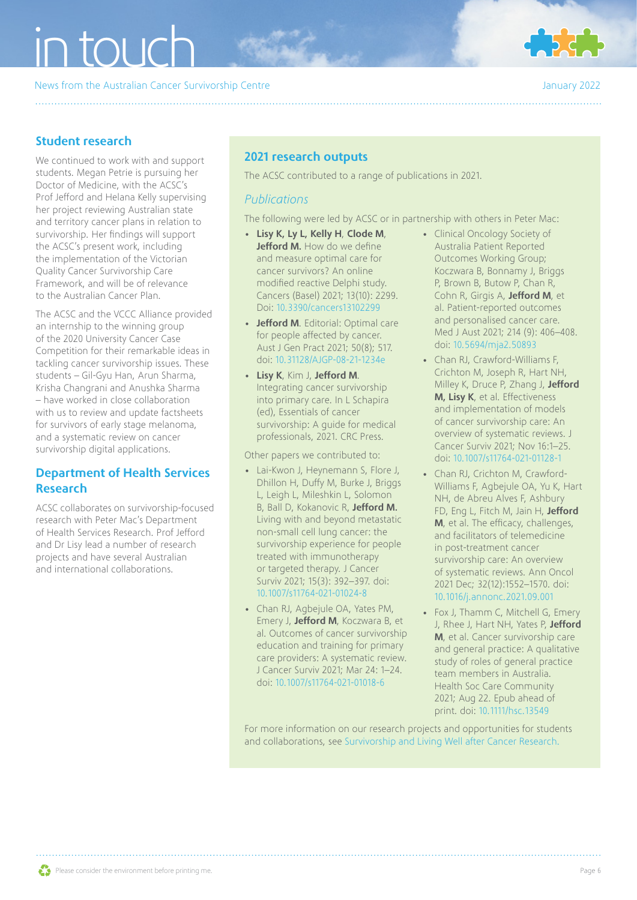News from the Australian Cancer Survivorship Centre January 2022



#### Student research

We continued to work with and support students. Megan Petrie is pursuing her Doctor of Medicine, with the ACSC's Prof Jefford and Helana Kelly supervising her project reviewing Australian state and territory cancer plans in relation to survivorship. Her findings will support the ACSC's present work, including the implementation of the Victorian Quality Cancer Survivorship Care Framework, and will be of relevance to the Australian Cancer Plan.

The ACSC and the VCCC Alliance provided an internship to the winning group of the 2020 University Cancer Case Competition for their remarkable ideas in tackling cancer survivorship issues. These students – Gil-Gyu Han, Arun Sharma, Krisha Changrani and Anushka Sharma – have worked in close collaboration with us to review and update factsheets for survivors of early stage melanoma, and a systematic review on cancer survivorship digital applications.

#### Department of Health Services Research

ACSC collaborates on survivorship-focused research with Peter Mac's Department of Health Services Research. Prof Jefford and Dr Lisy lead a number of research projects and have several Australian and international collaborations.

### 2021 research outputs

The ACSC contributed to a range of publications in 2021.

#### *Publications*

The following were led by ACSC or in partnership with others in Peter Mac:

- Lisy K, Ly L, Kelly H, Clode M, Jefford M. How do we define and measure optimal care for cancer survivors? An online modified reactive Delphi study. Cancers (Basel) 2021; 13(10): 2299. Doi: [10.3390/cancers13102299](https://pubmed.ncbi.nlm.nih.gov/34064957/)
- Jefford M. Editorial: Optimal care for people affected by cancer. Aust J Gen Pract 2021; 50(8); 517. doi: [10.31128/AJGP-08-21-1234e](https://pubmed.ncbi.nlm.nih.gov/34333567/)
- Lisy K, Kim J, Jefford M. Integrating cancer survivorship into primary care. In L Schapira (ed), Essentials of cancer survivorship: A guide for medical professionals, 2021. CRC Press.

Other papers we contributed to:

- Lai-Kwon J, Heynemann S, Flore J, Dhillon H, Duffy M, Burke J, Briggs L, Leigh L, Mileshkin L, Solomon B, Ball D, Kokanovic R, Jefford M. Living with and beyond metastatic non-small cell lung cancer: the survivorship experience for people treated with immunotherapy or targeted therapy. J Cancer Surviv 2021; 15(3): 392–397. doi: [10.1007/s11764-021-01024-8](https://pubmed.ncbi.nlm.nih.gov/33788170/)
- Chan RJ, Agbejule OA, Yates PM, Emery J, Jefford M, Koczwara B, et al. Outcomes of cancer survivorship education and training for primary care providers: A systematic review. J Cancer Surviv 2021; Mar 24: 1–24. doi: [10.1007/s11764-021-01018-6](https://pubmed.ncbi.nlm.nih.gov/33763806/)
- Clinical Oncology Society of Australia Patient Reported Outcomes Working Group; Koczwara B, Bonnamy J, Briggs P, Brown B, Butow P, Chan R, Cohn R, Girgis A, Jefford M, et al. Patient-reported outcomes and personalised cancer care. Med J Aust 2021; 214 (9): 406–408. doi: [10.5694/mja2.50893](https://pubmed.ncbi.nlm.nih.gov/34046907/)
- Chan RJ, Crawford-Williams F, Crichton M, Joseph R, Hart NH, Milley K, Druce P, Zhang J, Jefford M, Lisy K, et al. Effectiveness and implementation of models of cancer survivorship care: An overview of systematic reviews. J Cancer Surviv 2021; Nov 16:1–25. doi: [10.1007/s11764-021-01128-1](https://doi.org/10.1007/s11764-021-01128-1)
- Chan RJ, Crichton M, Crawford-Williams F, Agbejule OA, Yu K, Hart NH, de Abreu Alves F, Ashbury FD, Eng L, Fitch M, Jain H, Jefford M, et al. The efficacy, challenges, and facilitators of telemedicine in post-treatment cancer survivorship care: An overview of systematic reviews. Ann Oncol 2021 Dec; 32(12):1552–1570. doi: [10.1016/j.annonc.2021.09.001](https://pubmed.ncbi.nlm.nih.gov/34509615/)
- Fox J, Thamm C, Mitchell G, Emery J, Rhee J, Hart NH, Yates P, Jefford M, et al. Cancer survivorship care and general practice: A qualitative study of roles of general practice team members in Australia. Health Soc Care Community 2021; Aug 22. Epub ahead of print. doi: [10.1111/hsc.13549](https://pubmed.ncbi.nlm.nih.gov/34423502/)

For more information on our research projects and opportunities for students and collaborations, see [Survivorship and Living Well after Cancer Research.](https://www.petermac.org/research/clinical-research/clinical-research/survivorship-and-living-well-after-cancer)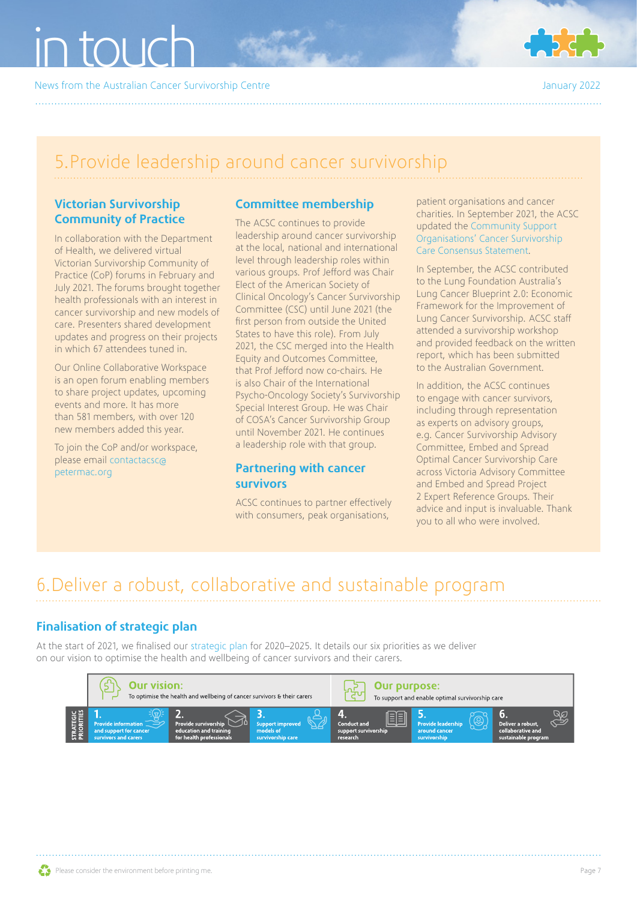News from the Australian Cancer Survivorship Centre January 2022

## 5.Provide leadership around cancer survivorship

#### Victorian Survivorship Community of Practice

In collaboration with the Department of Health, we delivered virtual Victorian Survivorship Community of Practice (CoP) forums in February and July 2021. The forums brought together health professionals with an interest in cancer survivorship and new models of care. Presenters shared development updates and progress on their projects in which 67 attendees tuned in.

Our Online Collaborative Workspace is an open forum enabling members to share project updates, upcoming events and more. It has more than 581 members, with over 120 new members added this year.

To join the CoP and/or workspace, please email [contactacsc@](mailto:contactacsc@petermac.org) [petermac.org](mailto:contactacsc@petermac.org) 

#### Committee membership

The ACSC continues to provide leadership around cancer survivorship at the local, national and international level through leadership roles within various groups. Prof Jefford was Chair Elect of the American Society of Clinical Oncology's Cancer Survivorship Committee (CSC) until June 2021 (the first person from outside the United States to have this role). From July 2021, the CSC merged into the Health Equity and Outcomes Committee, that Prof Jefford now co-chairs. He is also Chair of the International Psycho-Oncology Society's Survivorship Special Interest Group. He was Chair of COSA's Cancer Survivorship Group until November 2021. He continues a leadership role with that group.

#### Partnering with cancer survivors

ACSC continues to partner effectively with consumers, peak organisations,

patient organisations and cancer charities. In September 2021, the ACSC updated the [Community Support](https://www.petermac.org/sites/default/files/media-uploads/NGO_ConsensusStatement_V3_Sept%202021_WEB.pdf)  [Organisations' Cancer Survivorship](https://www.petermac.org/sites/default/files/media-uploads/NGO_ConsensusStatement_V3_Sept%202021_WEB.pdf)  [Care Consensus Statement.](https://www.petermac.org/sites/default/files/media-uploads/NGO_ConsensusStatement_V3_Sept%202021_WEB.pdf)

In September, the ACSC contributed to the Lung Foundation Australia's Lung Cancer Blueprint 2.0: Economic Framework for the Improvement of Lung Cancer Survivorship. ACSC staff attended a survivorship workshop and provided feedback on the written report, which has been submitted to the Australian Government.

In addition, the ACSC continues to engage with cancer survivors, including through representation as experts on advisory groups, e.g. Cancer Survivorship Advisory Committee, Embed and Spread Optimal Cancer Survivorship Care across Victoria Advisory Committee and Embed and Spread Project 2 Expert Reference Groups. Their advice and input is invaluable. Thank you to all who were involved.

### 6.Deliver a robust, collaborative and sustainable program

#### Finalisation of strategic plan

At the start of 2021, we finalised our [strategic plan](https://www.petermac.org/sites/default/files/media-uploads/4205%20ACSC%20A4%20Strategic%20Plan-HR%20email.pdf) for 2020–2025. It details our six priorities as we deliver on our vision to optimise the health and wellbeing of cancer survivors and their carers.



4.3 Promote cancer

5.3 Contribute

3.3 Develop and support

2.3 Respond to the

1.3 Support

6.3 Ensure effective